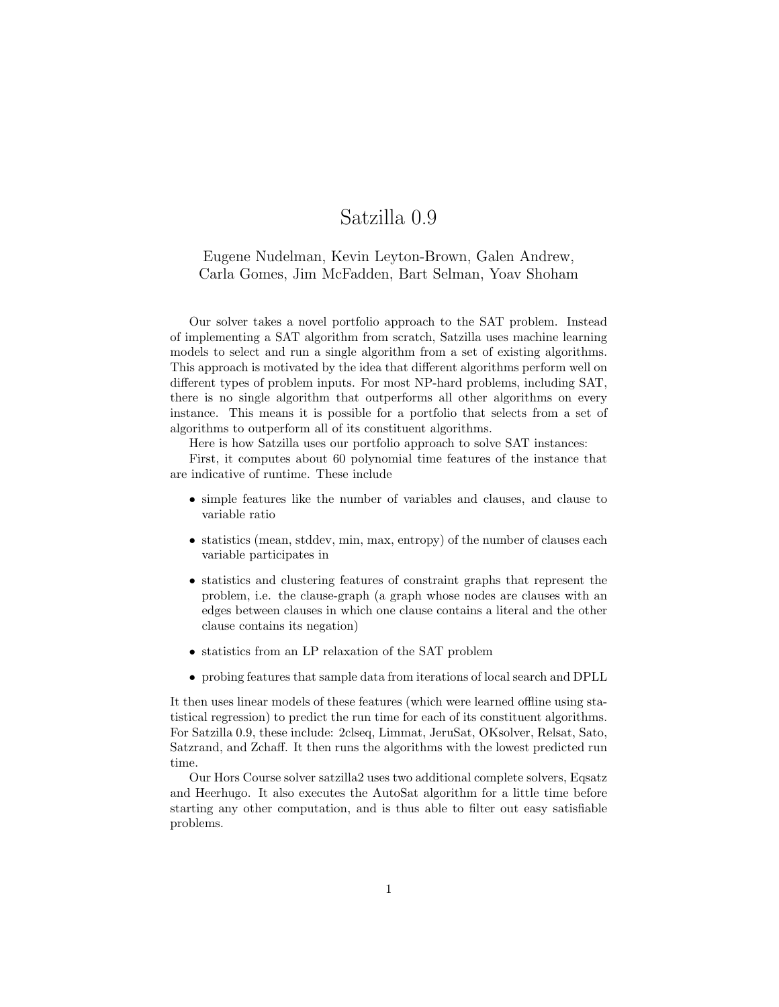## Satzilla 0.9

## Eugene Nudelman, Kevin Leyton-Brown, Galen Andrew, Carla Gomes, Jim McFadden, Bart Selman, Yoav Shoham

Our solver takes a novel portfolio approach to the SAT problem. Instead of implementing a SAT algorithm from scratch, Satzilla uses machine learning models to select and run a single algorithm from a set of existing algorithms. This approach is motivated by the idea that different algorithms perform well on different types of problem inputs. For most NP-hard problems, including SAT, there is no single algorithm that outperforms all other algorithms on every instance. This means it is possible for a portfolio that selects from a set of algorithms to outperform all of its constituent algorithms.

Here is how Satzilla uses our portfolio approach to solve SAT instances:

First, it computes about 60 polynomial time features of the instance that are indicative of runtime. These include

- simple features like the number of variables and clauses, and clause to variable ratio
- statistics (mean, stddev, min, max, entropy) of the number of clauses each variable participates in
- statistics and clustering features of constraint graphs that represent the problem, i.e. the clause-graph (a graph whose nodes are clauses with an edges between clauses in which one clause contains a literal and the other clause contains its negation)
- statistics from an LP relaxation of the SAT problem
- probing features that sample data from iterations of local search and DPLL

It then uses linear models of these features (which were learned offline using statistical regression) to predict the run time for each of its constituent algorithms. For Satzilla 0.9, these include: 2clseq, Limmat, JeruSat, OKsolver, Relsat, Sato, Satzrand, and Zchaff. It then runs the algorithms with the lowest predicted run time.

Our Hors Course solver satzilla2 uses two additional complete solvers, Eqsatz and Heerhugo. It also executes the AutoSat algorithm for a little time before starting any other computation, and is thus able to filter out easy satisfiable problems.